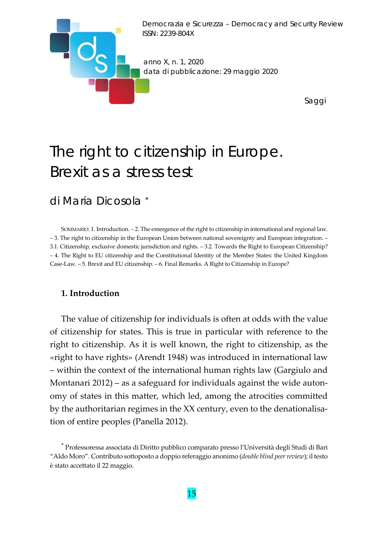

# The right to citizenship in Europe. Brexit as a stress test

# di Maria Dicosola \*

SOMMARIO: 1. Introduction. – 2. The emergence of the right to citizenship in international and regional law. – 3. The right to citizenship in the European Union between national sovereignty and European integration. – 3.1. Citizenship, exclusive domestic jurisdiction and rights. – 3.2. Towards the Right to European Citizenship? – 4. The Right to EU citizenship and the Constitutional Identity of the Member States: the United Kingdom Case‐Law. – 5. Brexit and EU citizenship. – 6. Final Remarks. A Right to Citizenship in Europe?

### **1. Introduction**

The value of citizenship for individuals is often at odds with the value of citizenship for states. This is true in particular with reference to the right to citizenship. As it is well known, the right to citizenship, as the «right to have rights» (Arendt 1948) was introduced in international law – within the context of the international human rights law (Gargiulo and Montanari 2012) – as a safeguard for individuals against the wide autonomy of states in this matter, which led, among the atrocities committed by the authoritarian regimes in the XX century, even to the denationalisa‐ tion of entire peoples (Panella 2012).

<sup>\*</sup> Professoressa associata di Diritto pubblico comparato presso l'Università degli Studi di Bari "Aldo Moro". Contributo sottoposto a doppio referaggio anonimo (*double blind peerreview*); il testo è stato accettato il 22 maggio.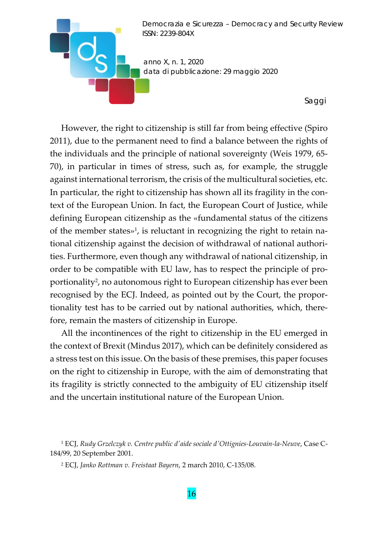

However, the right to citizenship is still far from being effective (Spiro 2011), due to the permanent need to find a balance between the rights of the individuals and the principle of national sovereignty (Weis 1979, 65‐ 70), in particular in times of stress, such as, for example, the struggle against international terrorism, the crisis of the multicultural societies, etc. In particular, the right to citizenship has shown all its fragility in the context of the European Union. In fact, the European Court of Justice, while defining European citizenship as the «fundamental status of the citizens of the member states»<sup>1</sup>, is reluctant in recognizing the right to retain national citizenship against the decision of withdrawal of national authori‐ ties. Furthermore, even though any withdrawal of national citizenship, in order to be compatible with EU law, has to respect the principle of pro‐ portionality2, no autonomous right to European citizenship has ever been recognised by the ECJ. Indeed, as pointed out by the Court, the propor‐ tionality test has to be carried out by national authorities, which, there‐ fore, remain the masters of citizenship in Europe.

All the incontinences of the right to citizenship in the EU emerged in the context of Brexit (Mindus 2017), which can be definitely considered as a stress test on this issue. On the basis of these premises, this paper focuses on the right to citizenship in Europe, with the aim of demonstrating that its fragility is strictly connected to the ambiguity of EU citizenship itself and the uncertain institutional nature of the European Union.

- <sup>1</sup> ECJ, *Rudy Grzelczyk v. Centre public dʹaide sociale dʹOttignies‐Louvain‐la‐Neuve*, Case C‐ 184/99, 20 September 2001.
	- <sup>2</sup> ECJ, *Janko Rottman v. Freistaat Bayern*, 2 march 2010, C‐135/08.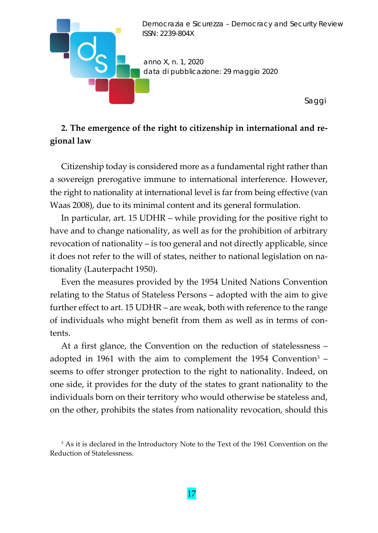

# **2. The emergence of the right to citizenship in international and re‐ gional law**

Citizenship today is considered more as a fundamental right rather than a sovereign prerogative immune to international interference. However, the right to nationality at international level is far from being effective (van Waas 2008), due to its minimal content and its general formulation.

In particular, art. 15 UDHR – while providing for the positive right to have and to change nationality, as well as for the prohibition of arbitrary revocation of nationality – is too general and not directly applicable, since it does not refer to the will of states, neither to national legislation on na‐ tionality (Lauterpacht 1950).

Even the measures provided by the 1954 United Nations Convention relating to the Status of Stateless Persons – adopted with the aim to give further effect to art. 15 UDHR – are weak, both with reference to the range of individuals who might benefit from them as well as in terms of con‐ tents.

At a first glance, the Convention on the reduction of statelessness – adopted in 1961 with the aim to complement the 1954 Convention<sup>3</sup>  $$ seems to offer stronger protection to the right to nationality. Indeed, on one side, it provides for the duty of the states to grant nationality to the individuals born on their territory who would otherwise be stateless and, on the other, prohibits the states from nationality revocation, should this

<sup>&</sup>lt;sup>3</sup> As it is declared in the Introductory Note to the Text of the 1961 Convention on the Reduction of Statelessness*.*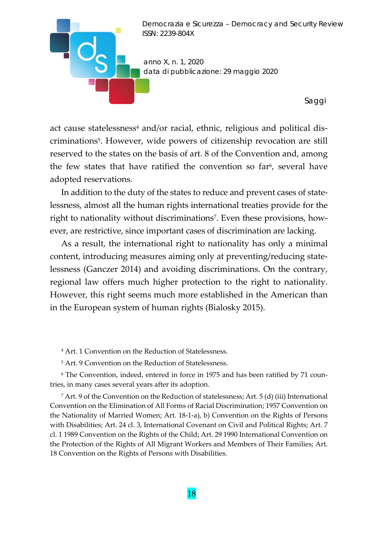

act cause statelessness<sup>4</sup> and/or racial, ethnic, religious and political discriminations5. However, wide powers of citizenship revocation are still reserved to the states on the basis of art. 8 of the Convention and, among the few states that have ratified the convention so far<sup>6</sup>, several have adopted reservations.

In addition to the duty of the states to reduce and prevent cases of statelessness, almost all the human rights international treaties provide for the right to nationality without discriminations<sup>7</sup>. Even these provisions, however, are restrictive, since important cases of discrimination are lacking.

As a result, the international right to nationality has only a minimal content, introducing measures aiming only at preventing/reducing state‐ lessness (Ganczer 2014) and avoiding discriminations. On the contrary, regional law offers much higher protection to the right to nationality. However, this right seems much more established in the American than in the European system of human rights (Bialosky 2015).

<sup>4</sup> Art. 1 Convention on the Reduction of Statelessness.

<sup>5</sup> Art. 9 Convention on the Reduction of Statelessness.

<sup>6</sup> The Convention, indeed, entered in force in 1975 and has been ratified by 71 coun‐ tries, in many cases several years after its adoption.

 $^7$  Art. 9 of the Convention on the Reduction of statelessness; Art. 5 (d) (iii) International Convention on the Elimination of All Forms of Racial Discrimination; 1957 Convention on the Nationality of Married Women; Art. 18‐1‐a), b) Convention on the Rights of Persons with Disabilities; Art. 24 cl. 3, International Covenant on Civil and Political Rights; Art. 7 cl. 1 1989 Convention on the Rights of the Child; Art. 29 1990 International Convention on the Protection of the Rights of All Migrant Workers and Members of Their Families; Art. 18 Convention on the Rights of Persons with Disabilities.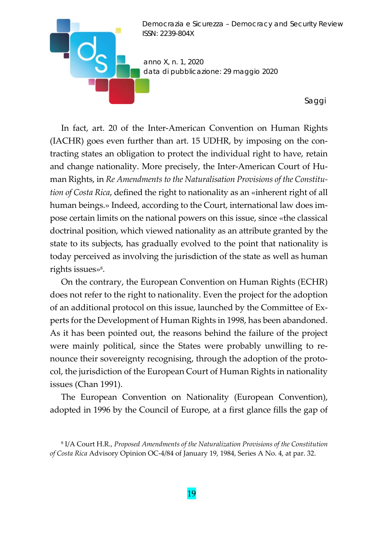

In fact, art. 20 of the Inter‐American Convention on Human Rights (IACHR) goes even further than art. 15 UDHR, by imposing on the con‐ tracting states an obligation to protect the individual right to have, retain and change nationality. More precisely, the Inter‐American Court of Hu‐ man Rights, in *Re Amendments to the Naturalisation Provisions of the Constitu‐ tion of Costa Rica*, defined the right to nationality as an «inherent right of all human beings.» Indeed, according to the Court, international law does impose certain limits on the national powers on this issue, since «the classical doctrinal position, which viewed nationality as an attribute granted by the state to its subjects, has gradually evolved to the point that nationality is today perceived as involving the jurisdiction of the state as well as human rights issues»<sup>8</sup>.

On the contrary, the European Convention on Human Rights (ECHR) does not refer to the right to nationality. Even the project for the adoption of an additional protocol on this issue, launched by the Committee of Ex‐ perts for the Development of Human Rights in 1998, has been abandoned. As it has been pointed out, the reasons behind the failure of the project were mainly political, since the States were probably unwilling to re‐ nounce their sovereignty recognising, through the adoption of the proto‐ col, the jurisdiction of the European Court of Human Rights in nationality issues (Chan 1991).

The European Convention on Nationality (European Convention), adopted in 1996 by the Council of Europe, at a first glance fills the gap of

<sup>8</sup> I/A Court H.R., *Proposed Amendments of the Naturalization Provisions of the Constitution of Costa Rica* Advisory Opinion OC‐4/84 of January 19, 1984, Series A No. 4, at par. 32.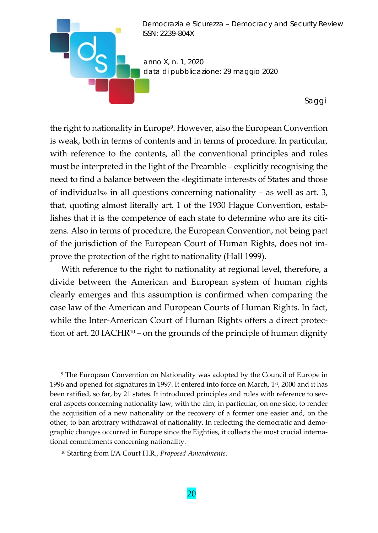

the right to nationality in Europe9. However, also the European Convention is weak, both in terms of contents and in terms of procedure. In particular, with reference to the contents, all the conventional principles and rules must be interpreted in the light of the Preamble – explicitly recognising the need to find a balance between the «legitimate interests of States and those of individuals» in all questions concerning nationality – as well as art. 3, that, quoting almost literally art. 1 of the 1930 Hague Convention, estab‐ lishes that it is the competence of each state to determine who are its citi‐ zens. Also in terms of procedure, the European Convention, not being part of the jurisdiction of the European Court of Human Rights, does not im‐ prove the protection of the right to nationality (Hall 1999).

With reference to the right to nationality at regional level, therefore, a divide between the American and European system of human rights clearly emerges and this assumption is confirmed when comparing the case law of the American and European Courts of Human Rights. In fact, while the Inter-American Court of Human Rights offers a direct protection of art. 20 IACHR $10 -$  on the grounds of the principle of human dignity

<sup>9</sup> The European Convention on Nationality was adopted by the Council of Europe in 1996 and opened for signatures in 1997. It entered into force on March,  $1<sup>st</sup>$ , 2000 and it has been ratified, so far, by 21 states. It introduced principles and rules with reference to several aspects concerning nationality law, with the aim, in particular, on one side, to render the acquisition of a new nationality or the recovery of a former one easier and, on the other, to ban arbitrary withdrawal of nationality. In reflecting the democratic and demo‐ graphic changes occurred in Europe since the Eighties, it collects the most crucial interna‐ tional commitments concerning nationality.

<sup>10</sup> Starting from I/A Court H.R., *Proposed Amendments.*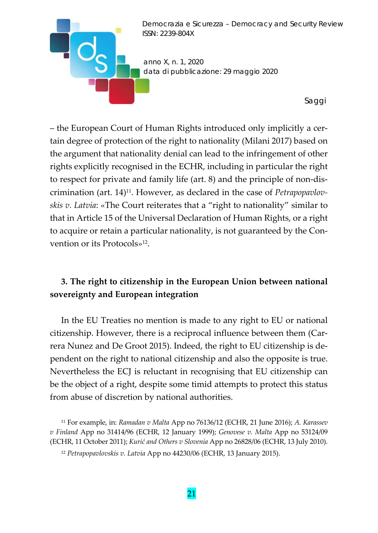

– the European Court of Human Rights introduced only implicitly a cer‐ tain degree of protection of the right to nationality (Milani 2017) based on the argument that nationality denial can lead to the infringement of other rights explicitly recognised in the ECHR, including in particular the right to respect for private and family life (art. 8) and the principle of non‐dis‐ crimination (art. 14)11. However, as declared in the case of *Petrapopavlov‐ skis v. Latvia*: «The Court reiterates that a "right to nationality" similar to that in Article 15 of the Universal Declaration of Human Rights, or a right to acquire or retain a particular nationality, is not guaranteed by the Con‐ vention or its Protocols»12.

## **3. The right to citizenship in the European Union between national sovereignty and European integration**

In the EU Treaties no mention is made to any right to EU or national citizenship. However, there is a reciprocal influence between them (Car‐ rera Nunez and De Groot 2015). Indeed, the right to EU citizenship is de‐ pendent on the right to national citizenship and also the opposite is true. Nevertheless the ECJ is reluctant in recognising that EU citizenship can be the object of a right, despite some timid attempts to protect this status from abuse of discretion by national authorities.

<sup>11</sup> For example, in: *Ramadan v Malta* App no 76136/12 (ECHR, 21 June 2016); *A. Karassev v Finland* App no 31414/96 (ECHR, 12 January 1999); *Genovese v. Malta* App no 53124/09 (ECHR, 11 October 2011); *Kurić and Others v Slovenia* App no 26828/06 (ECHR, 13 July 2010).

<sup>12</sup> *Petrapopavlovskis v. Latvia* App no 44230/06 (ECHR, 13 January 2015).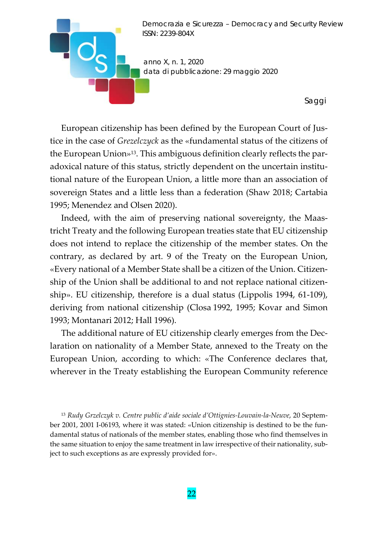

European citizenship has been defined by the European Court of Jus‐ tice in the case of *Grezelczyck* as the «fundamental status of the citizens of the European Union»<sup>13</sup>. This ambiguous definition clearly reflects the paradoxical nature of this status, strictly dependent on the uncertain institu‐ tional nature of the European Union, a little more than an association of sovereign States and a little less than a federation (Shaw 2018; Cartabia 1995; Menendez and Olsen 2020).

Indeed, with the aim of preserving national sovereignty, the Maas‐ tricht Treaty and the following European treaties state that EU citizenship does not intend to replace the citizenship of the member states. On the contrary, as declared by art. 9 of the Treaty on the European Union, «Every national of a Member State shall be a citizen of the Union. Citizen‐ ship of the Union shall be additional to and not replace national citizen‐ ship». EU citizenship, therefore is a dual status (Lippolis 1994, 61‐109), deriving from national citizenship (Closa 1992, 1995; Kovar and Simon 1993; Montanari 2012; Hall 1996).

The additional nature of EU citizenship clearly emerges from the Dec‐ laration on nationality of a Member State, annexed to the Treaty on the European Union, according to which: «The Conference declares that, wherever in the Treaty establishing the European Community reference

<sup>13</sup> *Rudy Grzelczyk v. Centre public d'aide sociale d'Ottignies‐Louvain‐la‐Neuve*, 20 Septem‐ ber 2001, 2001 I-06193, where it was stated: «Union citizenship is destined to be the fundamental status of nationals of the member states, enabling those who find themselves in the same situation to enjoy the same treatment in law irrespective of their nationality, sub‐ ject to such exceptions as are expressly provided for».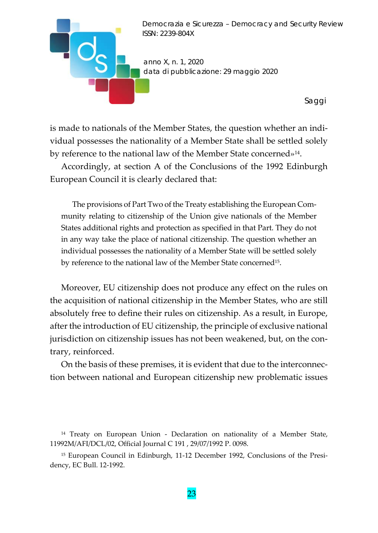

is made to nationals of the Member States, the question whether an indi‐ vidual possesses the nationality of a Member State shall be settled solely by reference to the national law of the Member State concerned»<sup>14</sup>.

Accordingly, at section A of the Conclusions of the 1992 Edinburgh European Council it is clearly declared that:

The provisions of Part Two of the Treaty establishing the European Com‐ munity relating to citizenship of the Union give nationals of the Member States additional rights and protection as specified in that Part. They do not in any way take the place of national citizenship. The question whether an individual possesses the nationality of a Member State will be settled solely by reference to the national law of the Member State concerned15.

Moreover, EU citizenship does not produce any effect on the rules on the acquisition of national citizenship in the Member States, who are still absolutely free to define their rules on citizenship. As a result, in Europe, after the introduction of EU citizenship, the principle of exclusive national jurisdiction on citizenship issues has not been weakened, but, on the con‐ trary, reinforced.

On the basis of these premises, it is evident that due to the interconnec‐ tion between national and European citizenship new problematic issues

<sup>14</sup> Treaty on European Union - Declaration on nationality of a Member State, 11992M/AFI/DCL/02, Official Journal C 191 , 29/07/1992 P. 0098.

<sup>15</sup> European Council in Edinburgh, 11-12 December 1992, Conclusions of the Presidency, EC Bull. 12‐1992.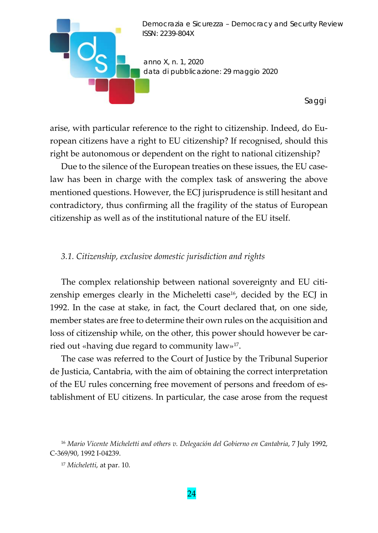

arise, with particular reference to the right to citizenship. Indeed, do Eu‐ ropean citizens have a right to EU citizenship? If recognised, should this right be autonomous or dependent on the right to national citizenship?

Due to the silence of the European treaties on these issues, the EU caselaw has been in charge with the complex task of answering the above mentioned questions. However, the ECJ jurisprudence is still hesitant and contradictory, thus confirming all the fragility of the status of European citizenship as well as of the institutional nature of the EU itself.

#### *3.1. Citizenship, exclusive domestic jurisdiction and rights*

The complex relationship between national sovereignty and EU citizenship emerges clearly in the Micheletti case<sup>16</sup>, decided by the ECJ in 1992. In the case at stake, in fact, the Court declared that, on one side, member states are free to determine their own rules on the acquisition and loss of citizenship while, on the other, this power should however be car‐ ried out «having due regard to community law»17.

The case was referred to the Court of Justice by the Tribunal Superior de Justicia, Cantabria, with the aim of obtaining the correct interpretation of the EU rules concerning free movement of persons and freedom of es‐ tablishment of EU citizens. In particular, the case arose from the request

<sup>16</sup> *Mario Vicente Micheletti and others v. Delegación del Gobierno en Cantabria*, 7 July 1992, C‐369/90, 1992 I‐04239.

<sup>17</sup> *Micheletti*, at par. 10.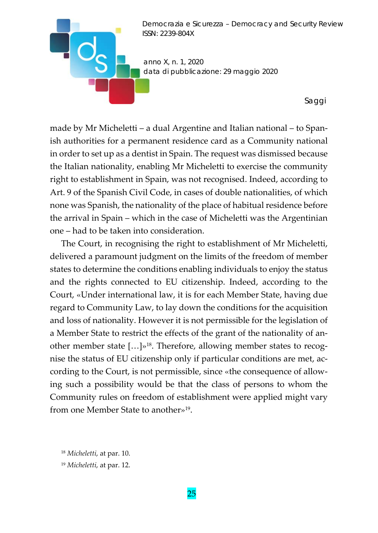

made by Mr Micheletti – a dual Argentine and Italian national – to Span‐ ish authorities for a permanent residence card as a Community national in order to set up as a dentist in Spain. The request was dismissed because the Italian nationality, enabling Mr Micheletti to exercise the community right to establishment in Spain, was not recognised. Indeed, according to Art. 9 of the Spanish Civil Code, in cases of double nationalities, of which none was Spanish, the nationality of the place of habitual residence before the arrival in Spain – which in the case of Micheletti was the Argentinian one – had to be taken into consideration.

The Court, in recognising the right to establishment of Mr Micheletti, delivered a paramount judgment on the limits of the freedom of member states to determine the conditions enabling individuals to enjoy the status and the rights connected to EU citizenship. Indeed, according to the Court, «Under international law, it is for each Member State, having due regard to Community Law, to lay down the conditions for the acquisition and loss of nationality. However it is not permissible for the legislation of a Member State to restrict the effects of the grant of the nationality of an‐ other member state  $[...]$ <sup>38</sup>. Therefore, allowing member states to recognise the status of EU citizenship only if particular conditions are met, ac‐ cording to the Court, is not permissible, since «the consequence of allow‐ ing such a possibility would be that the class of persons to whom the Community rules on freedom of establishment were applied might vary from one Member State to another»19.

<sup>18</sup> *Micheletti*, at par. 10.

<sup>19</sup> *Micheletti*, at par. 12.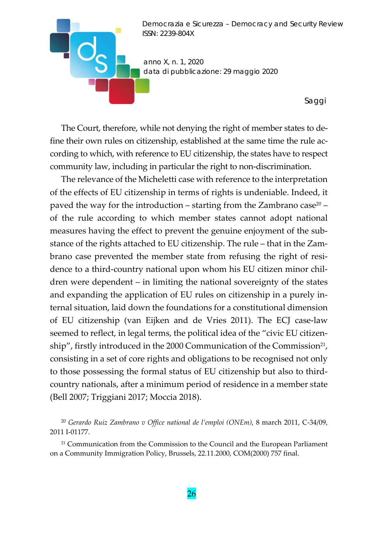

The Court, therefore, while not denying the right of member states to de‐ fine their own rules on citizenship, established at the same time the rule ac‐ cording to which, with reference to EU citizenship, the states have to respect community law, including in particular the right to non‐discrimination.

The relevance of the Micheletti case with reference to the interpretation of the effects of EU citizenship in terms of rights is undeniable. Indeed, it paved the way for the introduction – starting from the Zambrano case<sup>20</sup> – of the rule according to which member states cannot adopt national measures having the effect to prevent the genuine enjoyment of the sub‐ stance of the rights attached to EU citizenship. The rule – that in the Zam‐ brano case prevented the member state from refusing the right of residence to a third‐country national upon whom his EU citizen minor chil‐ dren were dependent – in limiting the national sovereignty of the states and expanding the application of EU rules on citizenship in a purely in‐ ternal situation, laid down the foundations for a constitutional dimension of EU citizenship (van Eijken and de Vries 2011). The ECJ case‐law seemed to reflect, in legal terms, the political idea of the "civic EU citizenship", firstly introduced in the 2000 Communication of the Commission<sup>21</sup>, consisting in a set of core rights and obligations to be recognised not only to those possessing the formal status of EU citizenship but also to third‐ country nationals, after a minimum period of residence in a member state (Bell 2007; Triggiani 2017; Moccia 2018).

<sup>20</sup> *Gerardo Ruiz Zambrano v Office national de l'emploi (ONEm)*, 8 march 2011, C‐34/09, 2011 I‐01177.

<sup>&</sup>lt;sup>21</sup> Communication from the Commission to the Council and the European Parliament on a Community Immigration Policy, Brussels, 22.11.2000, COM(2000) 757 final.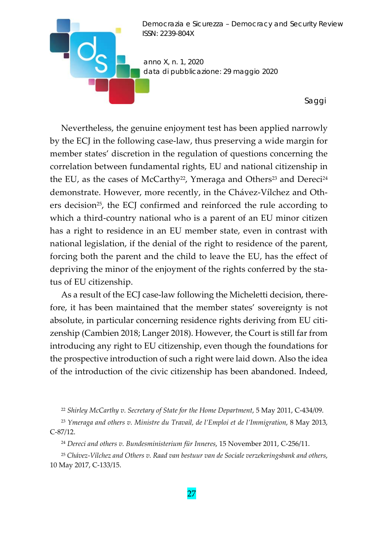

Nevertheless, the genuine enjoyment test has been applied narrowly by the ECJ in the following case‐law, thus preserving a wide margin for member states' discretion in the regulation of questions concerning the correlation between fundamental rights, EU and national citizenship in the EU, as the cases of McCarthy<sup>22</sup>, Ymeraga and Others<sup>23</sup> and Dereci<sup>24</sup> demonstrate. However, more recently, in the Chávez‐Vílchez and Oth‐ ers decision<sup>25</sup>, the ECJ confirmed and reinforced the rule according to which a third-country national who is a parent of an EU minor citizen has a right to residence in an EU member state, even in contrast with national legislation, if the denial of the right to residence of the parent, forcing both the parent and the child to leave the EU, has the effect of depriving the minor of the enjoyment of the rights conferred by the sta‐ tus of EU citizenship.

As a result of the ECJ case-law following the Micheletti decision, therefore, it has been maintained that the member states' sovereignty is not absolute, in particular concerning residence rights deriving from EU citi‐ zenship (Cambien 2018; Langer 2018). However, the Court is still far from introducing any right to EU citizenship, even though the foundations for the prospective introduction of such a right were laid down. Also the idea of the introduction of the civic citizenship has been abandoned. Indeed,

<sup>22</sup> *Shirley McCarthy v. Secretary of State for the Home Department*, 5 May 2011, C‐434/09.

<sup>23</sup> *Ymeraga and others v. Ministre du Travail, de l'Emploi et de l'Immigration*, 8 May 2013, C‐87/12.

<sup>24</sup> *Dereci and others v. Bundesministerium für Inneres*, 15 November 2011, C‐256/11.

<sup>25</sup> *Chávez‐Vílchez and Others v. Raad van bestuur van de Sociale verzekeringsbank and others*, 10 May 2017, C‐133/15.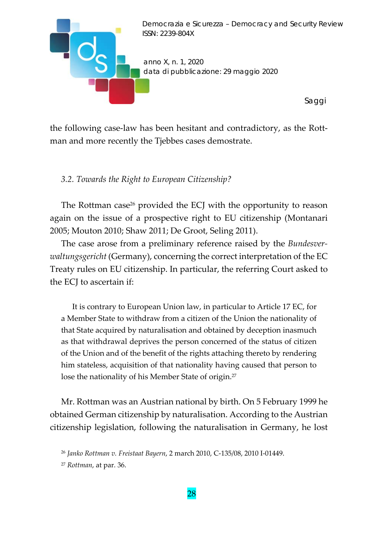

the following case‐law has been hesitant and contradictory, as the Rott‐ man and more recently the Tjebbes cases demostrate.

## *3.2. Towards the Right to European Citizenship?*

The Rottman case<sup>26</sup> provided the ECJ with the opportunity to reason again on the issue of a prospective right to EU citizenship (Montanari 2005; Mouton 2010; Shaw 2011; De Groot, Seling 2011).

The case arose from a preliminary reference raised by the *Bundesver‐ waltungsgericht* (Germany), concerning the correct interpretation of the EC Treaty rules on EU citizenship. In particular, the referring Court asked to the ECJ to ascertain if:

It is contrary to European Union law, in particular to Article 17 EC, for a Member State to withdraw from a citizen of the Union the nationality of that State acquired by naturalisation and obtained by deception inasmuch as that withdrawal deprives the person concerned of the status of citizen of the Union and of the benefit of the rights attaching thereto by rendering him stateless, acquisition of that nationality having caused that person to lose the nationality of his Member State of origin.27

Mr. Rottman was an Austrian national by birth. On 5 February 1999 he obtained German citizenship by naturalisation. According to the Austrian citizenship legislation, following the naturalisation in Germany, he lost

<sup>26</sup> *Janko Rottman v. Freistaat Bayern*, 2 march 2010, C‐135/08, 2010 I‐01449.

<sup>27</sup> *Rottman*, at par. 36.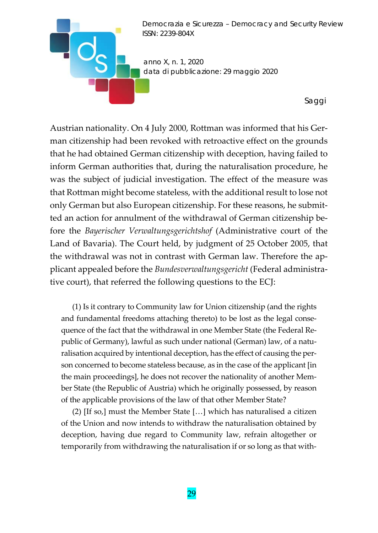

Austrian nationality. On 4 July 2000, Rottman was informed that his Ger‐ man citizenship had been revoked with retroactive effect on the grounds that he had obtained German citizenship with deception, having failed to inform German authorities that, during the naturalisation procedure, he was the subject of judicial investigation. The effect of the measure was that Rottman might become stateless, with the additional result to lose not only German but also European citizenship. For these reasons, he submit‐ ted an action for annulment of the withdrawal of German citizenship be‐ fore the *Bayerischer Verwaltungsgerichtshof* (Administrative court of the Land of Bavaria). The Court held, by judgment of 25 October 2005, that the withdrawal was not in contrast with German law. Therefore the ap‐ plicant appealed before the *Bundesverwaltungsgericht* (Federal administra‐ tive court), that referred the following questions to the ECJ:

(1) Is it contrary to Community law for Union citizenship (and the rights and fundamental freedoms attaching thereto) to be lost as the legal consequence of the fact that the withdrawal in one Member State (the Federal Re‐ public of Germany), lawful as such under national (German) law, of a naturalisation acquired by intentional deception, has the effect of causing the per‐ son concerned to become stateless because, as in the case of the applicant [in the main proceedings], he does not recover the nationality of another Mem‐ ber State (the Republic of Austria) which he originally possessed, by reason of the applicable provisions of the law of that other Member State?

(2) [If so,] must the Member State […] which has naturalised a citizen of the Union and now intends to withdraw the naturalisation obtained by deception, having due regard to Community law, refrain altogether or temporarily from withdrawing the naturalisation if or so long as that with‐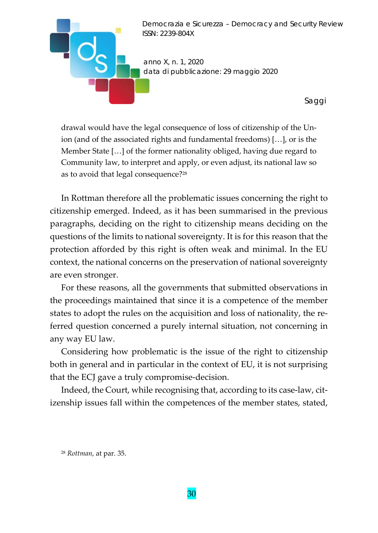

drawal would have the legal consequence of loss of citizenship of the Un‐ ion (and of the associated rights and fundamental freedoms) […], or is the Member State […] of the former nationality obliged, having due regard to Community law, to interpret and apply, or even adjust, its national law so as to avoid that legal consequence?28

In Rottman therefore all the problematic issues concerning the right to citizenship emerged. Indeed, as it has been summarised in the previous paragraphs, deciding on the right to citizenship means deciding on the questions of the limits to national sovereignty. It is for this reason that the protection afforded by this right is often weak and minimal. In the EU context, the national concerns on the preservation of national sovereignty are even stronger.

For these reasons, all the governments that submitted observations in the proceedings maintained that since it is a competence of the member states to adopt the rules on the acquisition and loss of nationality, the re‐ ferred question concerned a purely internal situation, not concerning in any way EU law.

Considering how problematic is the issue of the right to citizenship both in general and in particular in the context of EU, it is not surprising that the ECJ gave a truly compromise‐decision.

Indeed, the Court, while recognising that, according to its case-law, citizenship issues fall within the competences of the member states, stated,

<sup>28</sup> *Rottman*, at par. 35.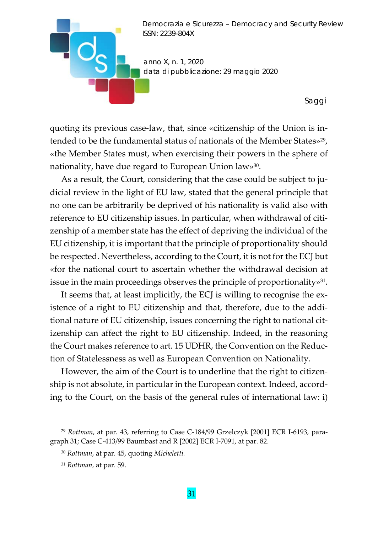

quoting its previous case‐law, that, since «citizenship of the Union is in‐ tended to be the fundamental status of nationals of the Member States»<sup>29</sup>, «the Member States must, when exercising their powers in the sphere of nationality, have due regard to European Union law»30.

As a result, the Court, considering that the case could be subject to judicial review in the light of EU law, stated that the general principle that no one can be arbitrarily be deprived of his nationality is valid also with reference to EU citizenship issues. In particular, when withdrawal of citi‐ zenship of a member state has the effect of depriving the individual of the EU citizenship, it is important that the principle of proportionality should be respected. Nevertheless, according to the Court, it is not for the ECJ but «for the national court to ascertain whether the withdrawal decision at issue in the main proceedings observes the principle of proportionality»<sup>31</sup>.

It seems that, at least implicitly, the ECJ is willing to recognise the ex‐ istence of a right to EU citizenship and that, therefore, due to the addi‐ tional nature of EU citizenship, issues concerning the right to national cit‐ izenship can affect the right to EU citizenship. Indeed, in the reasoning the Court makes reference to art. 15 UDHR, the Convention on the Reduc‐ tion of Statelessness as well as European Convention on Nationality.

However, the aim of the Court is to underline that the right to citizenship is not absolute, in particular in the European context. Indeed, accord‐ ing to the Court, on the basis of the general rules of international law: i)

<sup>&</sup>lt;sup>29</sup> *Rottman*, at par. 43, referring to Case C-184/99 Grzelczyk [2001] ECR I-6193, paragraph 31; Case C‐413/99 Baumbast and R [2002] ECR I‐7091, at par. 82.

<sup>30</sup> *Rottman*, at par. 45, quoting *Micheletti.*

<sup>31</sup> *Rottman*, at par. 59.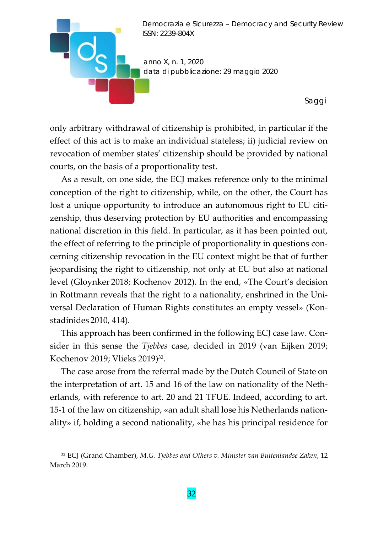

only arbitrary withdrawal of citizenship is prohibited, in particular if the effect of this act is to make an individual stateless; ii) judicial review on revocation of member states' citizenship should be provided by national courts, on the basis of a proportionality test.

As a result, on one side, the ECJ makes reference only to the minimal conception of the right to citizenship, while, on the other, the Court has lost a unique opportunity to introduce an autonomous right to EU citizenship, thus deserving protection by EU authorities and encompassing national discretion in this field. In particular, as it has been pointed out, the effect of referring to the principle of proportionality in questions con‐ cerning citizenship revocation in the EU context might be that of further jeopardising the right to citizenship, not only at EU but also at national level (Gloynker 2018; Kochenov 2012). In the end, «The Court's decision in Rottmann reveals that the right to a nationality, enshrined in the Uni‐ versal Declaration of Human Rights constitutes an empty vessel» (Kon‐ stadinides 2010, 414).

This approach has been confirmed in the following ECJ case law. Consider in this sense the *Tjebbes* case, decided in 2019 (van Eijken 2019; Kochenov 2019; Vlieks 2019)32.

The case arose from the referral made by the Dutch Council of State on the interpretation of art. 15 and 16 of the law on nationality of the Neth‐ erlands, with reference to art. 20 and 21 TFUE. Indeed, according to art. 15‐1 of the law on citizenship, «an adult shall lose his Netherlands nation‐ ality» if, holding a second nationality, «he has his principal residence for

<sup>32</sup> ECJ (Grand Chamber), *M.G. Tjebbes and Others v. Minister van Buitenlandse Zaken*, 12 March 2019.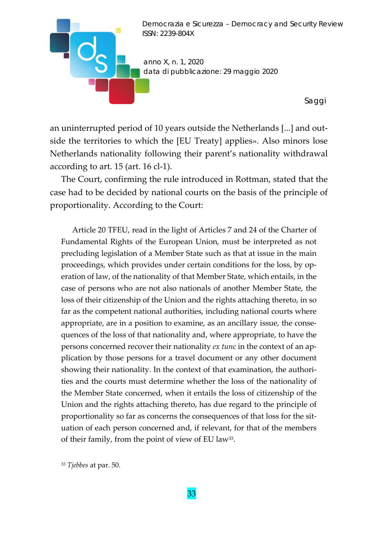

an uninterrupted period of 10 years outside the Netherlands [...] and out‐ side the territories to which the [EU Treaty] applies». Also minors lose Netherlands nationality following their parent's nationality withdrawal according to art. 15 (art. 16 cl‐1).

The Court, confirming the rule introduced in Rottman, stated that the case had to be decided by national courts on the basis of the principle of proportionality. According to the Court:

Article 20 TFEU, read in the light of Articles 7 and 24 of the Charter of Fundamental Rights of the European Union, must be interpreted as not precluding legislation of a Member State such as that at issue in the main proceedings, which provides under certain conditions for the loss, by operation of law, of the nationality of that Member State, which entails, in the case of persons who are not also nationals of another Member State, the loss of their citizenship of the Union and the rights attaching thereto, in so far as the competent national authorities, including national courts where appropriate, are in a position to examine, as an ancillary issue, the consequences of the loss of that nationality and, where appropriate, to have the persons concerned recover their nationality *ex tunc* in the context of an ap‐ plication by those persons for a travel document or any other document showing their nationality. In the context of that examination, the authori‐ ties and the courts must determine whether the loss of the nationality of the Member State concerned, when it entails the loss of citizenship of the Union and the rights attaching thereto, has due regard to the principle of proportionality so far as concerns the consequences of that loss for the situation of each person concerned and, if relevant, for that of the members of their family, from the point of view of EU law33.

<sup>33</sup> *Tjebbes* at par. 50.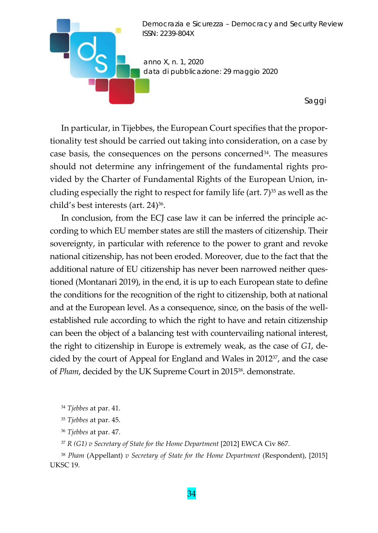

In particular, in Tijebbes, the European Court specifies that the propor‐ tionality test should be carried out taking into consideration, on a case by case basis, the consequences on the persons concerned<sup>34</sup>. The measures should not determine any infringement of the fundamental rights pro‐ vided by the Charter of Fundamental Rights of the European Union, in‐ cluding especially the right to respect for family life (art.  $7$ )<sup>35</sup> as well as the child's best interests (art. 24)36.

In conclusion, from the ECJ case law it can be inferred the principle according to which EU member states are still the masters of citizenship. Their sovereignty, in particular with reference to the power to grant and revoke national citizenship, has not been eroded. Moreover, due to the fact that the additional nature of EU citizenship has never been narrowed neither ques‐ tioned (Montanari 2019), in the end, it is up to each European state to define the conditions for the recognition of the right to citizenship, both at national and at the European level. As a consequence, since, on the basis of the well‐ established rule according to which the right to have and retain citizenship can been the object of a balancing test with countervailing national interest, the right to citizenship in Europe is extremely weak, as the case of *G1*, de‐ cided by the court of Appeal for England and Wales in 201237, and the case of *Pham*, decided by the UK Supreme Court in 201538. demonstrate.

- <sup>35</sup> *Tjebbes* at par. 45.
- <sup>36</sup> *Tjebbes* at par. 47.
- <sup>37</sup> *R (G1) v Secretary of State for the Home Department* [2012] EWCA Civ 867.

<sup>38</sup> *Pham* (Appellant) *v Secretary of State for the Home Department* (Respondent), [2015] UKSC 19.

<sup>34</sup> *Tjebbes* at par. 41.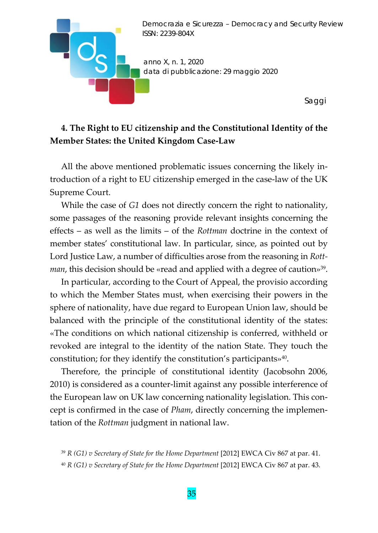

# **4. The Right to EU citizenship and the Constitutional Identity of the Member States: the United Kingdom Case‐Law**

All the above mentioned problematic issues concerning the likely in‐ troduction of a right to EU citizenship emerged in the case‐law of the UK Supreme Court.

While the case of *G1* does not directly concern the right to nationality, some passages of the reasoning provide relevant insights concerning the effects – as well as the limits – of the *Rottman* doctrine in the context of member states' constitutional law. In particular, since, as pointed out by Lord Justice Law, a number of difficulties arose from the reasoning in *Rott‐ man*, this decision should be «read and applied with a degree of caution»39.

In particular, according to the Court of Appeal, the provisio according to which the Member States must, when exercising their powers in the sphere of nationality, have due regard to European Union law, should be balanced with the principle of the constitutional identity of the states: «The conditions on which national citizenship is conferred, withheld or revoked are integral to the identity of the nation State. They touch the constitution; for they identify the constitution's participants»<sup>40</sup>.

Therefore, the principle of constitutional identity (Jacobsohn 2006, 2010) is considered as a counter‐limit against any possible interference of the European law on UK law concerning nationality legislation. This con‐ cept is confirmed in the case of *Pham*, directly concerning the implemen‐ tation of the *Rottman* judgment in national law.

<sup>39</sup> *R (G1) v Secretary of State for the Home Department* [2012] EWCA Civ 867 at par. 41.

<sup>40</sup> *R (G1) v Secretary of State for the Home Department* [2012] EWCA Civ 867 at par. 43.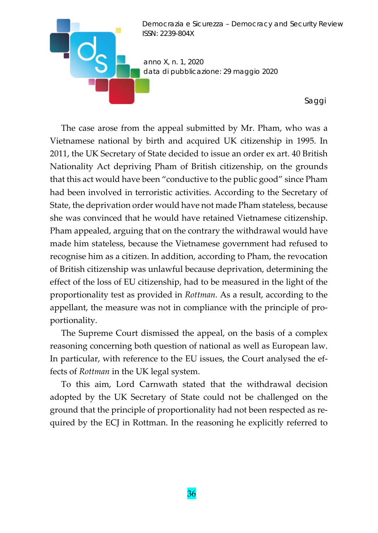

The case arose from the appeal submitted by Mr. Pham, who was a Vietnamese national by birth and acquired UK citizenship in 1995. In 2011, the UK Secretary of State decided to issue an order ex art. 40 British Nationality Act depriving Pham of British citizenship, on the grounds that this act would have been "conductive to the public good" since Pham had been involved in terroristic activities. According to the Secretary of State, the deprivation order would have not made Pham stateless, because she was convinced that he would have retained Vietnamese citizenship. Pham appealed, arguing that on the contrary the withdrawal would have made him stateless, because the Vietnamese government had refused to recognise him as a citizen. In addition, according to Pham, the revocation of British citizenship was unlawful because deprivation, determining the effect of the loss of EU citizenship, had to be measured in the light of the proportionality test as provided in *Rottman.* As a result, according to the appellant, the measure was not in compliance with the principle of pro‐ portionality.

The Supreme Court dismissed the appeal, on the basis of a complex reasoning concerning both question of national as well as European law. In particular, with reference to the EU issues, the Court analysed the ef‐ fects of *Rottman* in the UK legal system.

To this aim, Lord Carnwath stated that the withdrawal decision adopted by the UK Secretary of State could not be challenged on the ground that the principle of proportionality had not been respected as re‐ quired by the ECJ in Rottman. In the reasoning he explicitly referred to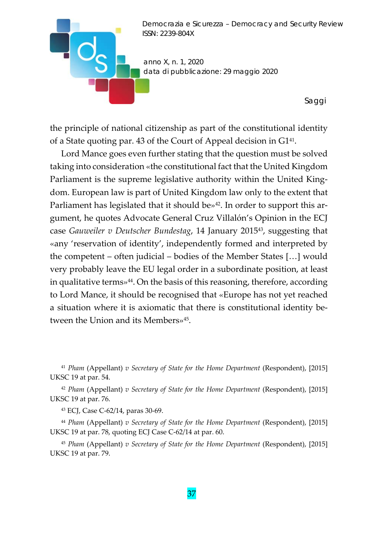

the principle of national citizenship as part of the constitutional identity of a State quoting par. 43 of the Court of Appeal decision in G141.

Lord Mance goes even further stating that the question must be solved taking into consideration «the constitutional fact that the United Kingdom Parliament is the supreme legislative authority within the United King‐ dom. European law is part of United Kingdom law only to the extent that Parliament has legislated that it should be $\psi^{42}$ . In order to support this argument, he quotes Advocate General Cruz Villalón's Opinion in the ECJ case *Gauweiler v Deutscher Bundestag*, 14 January 201543, suggesting that «any 'reservation of identity', independently formed and interpreted by the competent – often judicial – bodies of the Member States […] would very probably leave the EU legal order in a subordinate position, at least in qualitative terms»<sup>44</sup>. On the basis of this reasoning, therefore, according to Lord Mance, it should be recognised that «Europe has not yet reached a situation where it is axiomatic that there is constitutional identity be‐ tween the Union and its Members»45.

<sup>41</sup> *Pham* (Appellant) *v Secretary of State for the Home Department* (Respondent), [2015] UKSC 19 at par. 54.

<sup>42</sup> *Pham* (Appellant) *v Secretary of State for the Home Department* (Respondent), [2015] UKSC 19 at par. 76.

<sup>43</sup> ECJ, Case C‐62/14, paras 30‐69.

<sup>44</sup> *Pham* (Appellant) *v Secretary of State for the Home Department* (Respondent), [2015] UKSC 19 at par. 78, quoting ECJ Case C‐62/14 at par. 60.

<sup>45</sup> *Pham* (Appellant) *v Secretary of State for the Home Department* (Respondent), [2015] UKSC 19 at par. 79.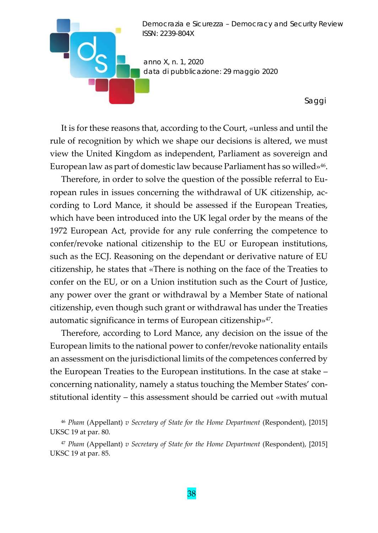

It is for these reasons that, according to the Court, «unless and until the rule of recognition by which we shape our decisions is altered, we must view the United Kingdom as independent, Parliament as sovereign and European law as part of domestic law because Parliament has so willed»46.

Therefore, in order to solve the question of the possible referral to Eu‐ ropean rules in issues concerning the withdrawal of UK citizenship, ac‐ cording to Lord Mance, it should be assessed if the European Treaties, which have been introduced into the UK legal order by the means of the 1972 European Act, provide for any rule conferring the competence to confer/revoke national citizenship to the EU or European institutions, such as the ECJ. Reasoning on the dependant or derivative nature of EU citizenship, he states that «There is nothing on the face of the Treaties to confer on the EU, or on a Union institution such as the Court of Justice, any power over the grant or withdrawal by a Member State of national citizenship, even though such grant or withdrawal has under the Treaties automatic significance in terms of European citizenship»<sup>47</sup>.

Therefore, according to Lord Mance, any decision on the issue of the European limits to the national power to confer/revoke nationality entails an assessment on the jurisdictional limits of the competences conferred by the European Treaties to the European institutions. In the case at stake – concerning nationality, namely a status touching the Member States' con‐ stitutional identity – this assessment should be carried out «with mutual

<sup>46</sup> *Pham* (Appellant) *v Secretary of State for the Home Department* (Respondent), [2015] UKSC 19 at par. 80.

<sup>47</sup> *Pham* (Appellant) *v Secretary of State for the Home Department* (Respondent), [2015] UKSC 19 at par. 85.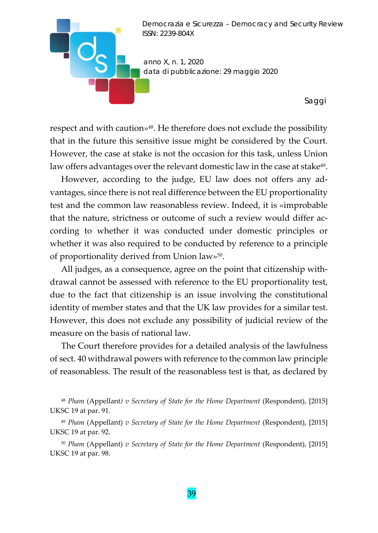

respect and with caution»<sup>48</sup>. He therefore does not exclude the possibility that in the future this sensitive issue might be considered by the Court. However, the case at stake is not the occasion for this task, unless Union law offers advantages over the relevant domestic law in the case at stake<sup>49</sup>.

However, according to the judge, EU law does not offers any ad‐ vantages, since there is not real difference between the EU proportionality test and the common law reasonabless review. Indeed, it is «improbable that the nature, strictness or outcome of such a review would differ ac‐ cording to whether it was conducted under domestic principles or whether it was also required to be conducted by reference to a principle of proportionality derived from Union law»50.

All judges, as a consequence, agree on the point that citizenship with‐ drawal cannot be assessed with reference to the EU proportionality test, due to the fact that citizenship is an issue involving the constitutional identity of member states and that the UK law provides for a similar test. However, this does not exclude any possibility of judicial review of the measure on the basis of national law.

The Court therefore provides for a detailed analysis of the lawfulness of sect. 40 withdrawal powers with reference to the common law principle of reasonabless. The result of the reasonabless test is that, as declared by

<sup>48</sup> *Pham* (Appellant*) v Secretary of State for the Home Department* (Respondent), [2015] UKSC 19 at par. 91.

<sup>49</sup> *Pham* (Appellant) *v Secretary of State for the Home Department* (Respondent), [2015] UKSC 19 at par. 92.

<sup>50</sup> *Pham* (Appellant) *v Secretary of State for the Home Department* (Respondent), [2015] UKSC 19 at par. 98.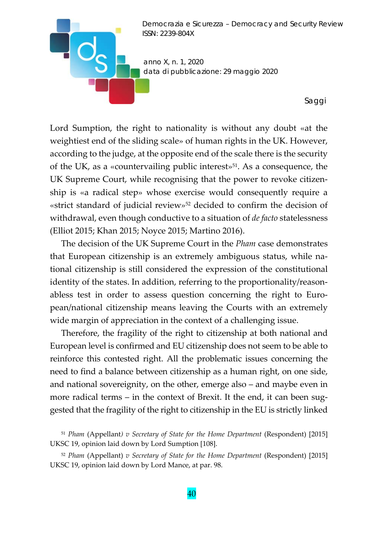

Lord Sumption, the right to nationality is without any doubt «at the weightiest end of the sliding scale» of human rights in the UK. However, according to the judge, at the opposite end of the scale there is the security of the UK, as a «countervailing public interest»51. As a consequence, the UK Supreme Court, while recognising that the power to revoke citizen‐ ship is «a radical step» whose exercise would consequently require a «strict standard of judicial review»<sup>52</sup> decided to confirm the decision of withdrawal, even though conductive to a situation of *de facto* statelessness (Elliot 2015; Khan 2015; Noyce 2015; Martino 2016).

The decision of the UK Supreme Court in the *Pham* case demonstrates that European citizenship is an extremely ambiguous status, while na‐ tional citizenship is still considered the expression of the constitutional identity of the states. In addition, referring to the proportionality/reasonabless test in order to assess question concerning the right to Euro‐ pean/national citizenship means leaving the Courts with an extremely wide margin of appreciation in the context of a challenging issue.

Therefore, the fragility of the right to citizenship at both national and European level is confirmed and EU citizenship does not seem to be able to reinforce this contested right. All the problematic issues concerning the need to find a balance between citizenship as a human right, on one side, and national sovereignity, on the other, emerge also – and maybe even in more radical terms – in the context of Brexit. It the end, it can been suggested that the fragility of the right to citizenship in the EU is strictly linked

<sup>51</sup> *Pham* (Appellant*) v Secretary of State for the Home Department* (Respondent) [2015] UKSC 19, opinion laid down by Lord Sumption [108].

<sup>52</sup> *Pham* (Appellant) *v Secretary of State for the Home Department* (Respondent) [2015] UKSC 19, opinion laid down by Lord Mance, at par. 98.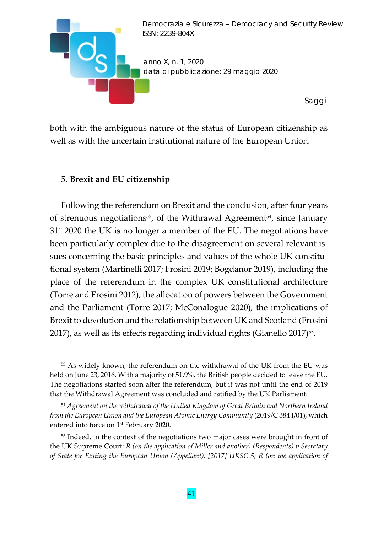

both with the ambiguous nature of the status of European citizenship as well as with the uncertain institutional nature of the European Union.

#### **5. Brexit and EU citizenship**

Following the referendum on Brexit and the conclusion, after four years of strenuous negotiations<sup>53</sup>, of the Withrawal Agreement<sup>54</sup>, since January  $31<sup>st</sup>$  2020 the UK is no longer a member of the EU. The negotiations have been particularly complex due to the disagreement on several relevant is‐ sues concerning the basic principles and values of the whole UK constitutional system (Martinelli 2017; Frosini 2019; Bogdanor 2019), including the place of the referendum in the complex UK constitutional architecture (Torre and Frosini 2012), the allocation of powers between the Government and the Parliament (Torre 2017; McConalogue 2020), the implications of Brexit to devolution and the relationship between UK and Scotland (Frosini 2017), as well as its effects regarding individual rights (Gianello 2017)<sup>55</sup>.

<sup>53</sup> As widely known, the referendum on the withdrawal of the UK from the EU was held on June 23, 2016. With a majority of 51,9%, the British people decided to leave the EU. The negotiations started soon after the referendum, but it was not until the end of 2019 that the Withdrawal Agreement was concluded and ratified by the UK Parliament.

<sup>54</sup> *Agreement on the withdrawal of the United Kingdom of Great Britain and Northern Ireland from the European Union and the European Atomic Energy Community* (2019/C 384 I/01), which entered into force on 1st February 2020.

<sup>55</sup> Indeed, in the context of the negotiations two major cases were brought in front of the UK Supreme Court: *R (on the application of Miller and another) (Respondents) v Secretary of State for Exiting the European Union (Appellant), [2017] UKSC 5; R (on the application of*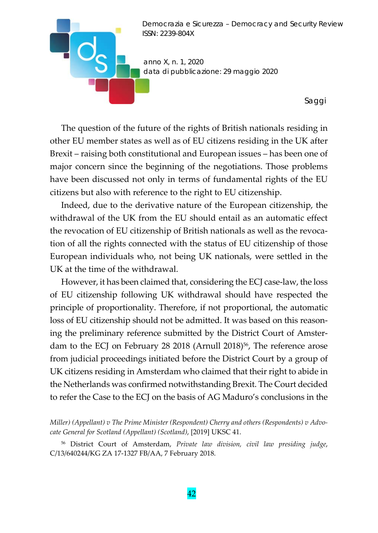

The question of the future of the rights of British nationals residing in other EU member states as well as of EU citizens residing in the UK after Brexit – raising both constitutional and European issues – has been one of major concern since the beginning of the negotiations. Those problems have been discussed not only in terms of fundamental rights of the EU citizens but also with reference to the right to EU citizenship.

Indeed, due to the derivative nature of the European citizenship, the withdrawal of the UK from the EU should entail as an automatic effect the revocation of EU citizenship of British nationals as well as the revoca‐ tion of all the rights connected with the status of EU citizenship of those European individuals who, not being UK nationals, were settled in the UK at the time of the withdrawal.

However, it has been claimed that, considering the ECJ case-law, the loss of EU citizenship following UK withdrawal should have respected the principle of proportionality. Therefore, if not proportional, the automatic loss of EU citizenship should not be admitted. It was based on this reasoning the preliminary reference submitted by the District Court of Amster‐ dam to the ECJ on February 28 2018 (Arnull 2018)<sup>56</sup>, The reference arose from judicial proceedings initiated before the District Court by a group of UK citizens residing in Amsterdam who claimed that their right to abide in the Netherlands was confirmed notwithstanding Brexit. The Court decided to refer the Case to the ECJ on the basis of AG Maduro's conclusions in the

<sup>56</sup> District Court of Amsterdam, *Private law division, civil law presiding judge*, C/13/640244/KG ZA 17‐1327 FB/AA, 7 February 2018.

*Miller) (Appellant) v The Prime Minister (Respondent) Cherry and others (Respondents) v Advo‐ cate General for Scotland (Appellant) (Scotland)*, [2019] UKSC 41.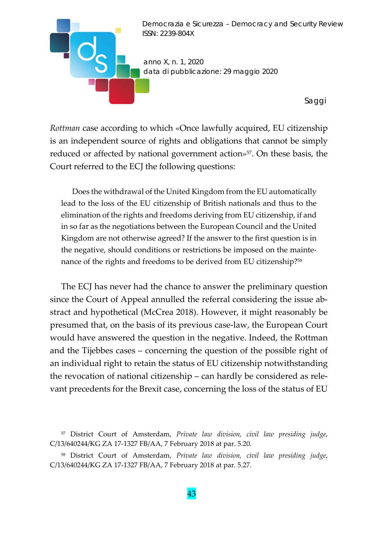

*Rottman* case according to which «Once lawfully acquired, EU citizenship is an independent source of rights and obligations that cannot be simply reduced or affected by national government action»<sup>57</sup>. On these basis, the Court referred to the ECJ the following questions:

Does the withdrawal of the United Kingdom from the EU automatically lead to the loss of the EU citizenship of British nationals and thus to the elimination of the rights and freedoms deriving from EU citizenship, if and in so far as the negotiations between the European Council and the United Kingdom are not otherwise agreed? If the answer to the first question is in the negative, should conditions or restrictions be imposed on the mainte‐ nance of the rights and freedoms to be derived from EU citizenship?58

The ECJ has never had the chance to answer the preliminary question since the Court of Appeal annulled the referral considering the issue ab‐ stract and hypothetical (McCrea 2018). However, it might reasonably be presumed that, on the basis of its previous case‐law, the European Court would have answered the question in the negative. Indeed, the Rottman and the Tijebbes cases – concerning the question of the possible right of an individual right to retain the status of EU citizenship notwithstanding the revocation of national citizenship – can hardly be considered as rele‐ vant precedents for the Brexit case, concerning the loss of the status of EU

<sup>57</sup> District Court of Amsterdam, *Private law division, civil law presiding judge*, C/13/640244/KG ZA 17‐1327 FB/AA, 7 February 2018 at par. 5.20.

<sup>58</sup> District Court of Amsterdam, *Private law division, civil law presiding judge*, C/13/640244/KG ZA 17‐1327 FB/AA, 7 February 2018 at par. 5.27.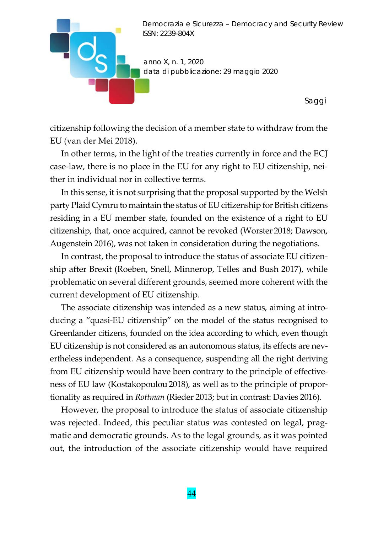

citizenship following the decision of a member state to withdraw from the EU (van der Mei 2018).

In other terms, in the light of the treaties currently in force and the ECJ case-law, there is no place in the EU for any right to EU citizenship, neither in individual nor in collective terms.

In this sense, it is not surprising that the proposal supported by the Welsh party Plaid Cymru to maintain the status of EU citizenship for British citizens residing in a EU member state, founded on the existence of a right to EU citizenship, that, once acquired, cannot be revoked (Worster 2018; Dawson, Augenstein 2016), was not taken in consideration during the negotiations.

In contrast, the proposal to introduce the status of associate EU citizenship after Brexit (Roeben, Snell, Minnerop, Telles and Bush 2017), while problematic on several different grounds, seemed more coherent with the current development of EU citizenship.

The associate citizenship was intended as a new status, aiming at introducing a "quasi‐EU citizenship" on the model of the status recognised to Greenlander citizens, founded on the idea according to which, even though EU citizenship is not considered as an autonomous status, its effects are nev‐ ertheless independent. As a consequence, suspending all the right deriving from EU citizenship would have been contrary to the principle of effective‐ ness of EU law (Kostakopoulou 2018), as well as to the principle of proportionality as required in *Rottman* (Rieder 2013; but in contrast: Davies 2016)*.*

However, the proposal to introduce the status of associate citizenship was rejected. Indeed, this peculiar status was contested on legal, prag‐ matic and democratic grounds. As to the legal grounds, as it was pointed out, the introduction of the associate citizenship would have required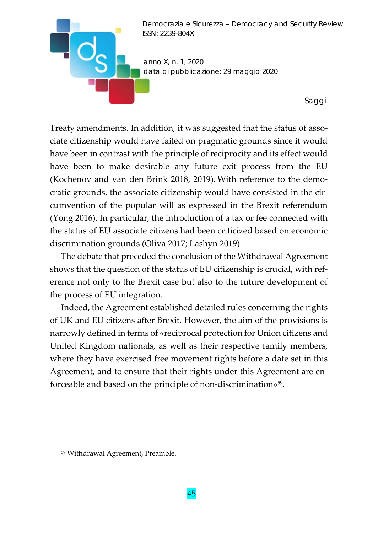

Treaty amendments. In addition, it was suggested that the status of asso‐ ciate citizenship would have failed on pragmatic grounds since it would have been in contrast with the principle of reciprocity and its effect would have been to make desirable any future exit process from the EU (Kochenov and van den Brink 2018, 2019). With reference to the demo‐ cratic grounds, the associate citizenship would have consisted in the circumvention of the popular will as expressed in the Brexit referendum (Yong 2016). In particular, the introduction of a tax or fee connected with the status of EU associate citizens had been criticized based on economic discrimination grounds (Oliva 2017; Lashyn 2019).

The debate that preceded the conclusion of the Withdrawal Agreement shows that the question of the status of EU citizenship is crucial, with ref‐ erence not only to the Brexit case but also to the future development of the process of EU integration.

Indeed, the Agreement established detailed rules concerning the rights of UK and EU citizens after Brexit. However, the aim of the provisions is narrowly defined in terms of «reciprocal protection for Union citizens and United Kingdom nationals, as well as their respective family members, where they have exercised free movement rights before a date set in this Agreement, and to ensure that their rights under this Agreement are en‐ forceable and based on the principle of non‐discrimination»59.

<sup>59</sup> Withdrawal Agreement, Preamble.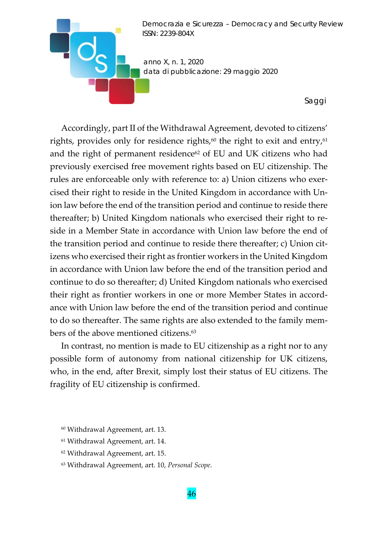

Accordingly, part II of the Withdrawal Agreement, devoted to citizens' rights, provides only for residence rights, $60$  the right to exit and entry, $61$ and the right of permanent residence $62$  of EU and UK citizens who had previously exercised free movement rights based on EU citizenship. The rules are enforceable only with reference to: a) Union citizens who exercised their right to reside in the United Kingdom in accordance with Un‐ ion law before the end of the transition period and continue to reside there thereafter; b) United Kingdom nationals who exercised their right to re‐ side in a Member State in accordance with Union law before the end of the transition period and continue to reside there thereafter; c) Union cit‐ izens who exercised their right as frontier workers in the United Kingdom in accordance with Union law before the end of the transition period and continue to do so thereafter; d) United Kingdom nationals who exercised their right as frontier workers in one or more Member States in accord‐ ance with Union law before the end of the transition period and continue to do so thereafter. The same rights are also extended to the family members of the above mentioned citizens.<sup>63</sup>

In contrast, no mention is made to EU citizenship as a right nor to any possible form of autonomy from national citizenship for UK citizens, who, in the end, after Brexit, simply lost their status of EU citizens. The fragility of EU citizenship is confirmed.

- <sup>61</sup> Withdrawal Agreement, art. 14.
- <sup>62</sup> Withdrawal Agreement, art. 15.
- <sup>63</sup> Withdrawal Agreement, art. 10, *Personal Scope*.

<sup>60</sup> Withdrawal Agreement, art. 13.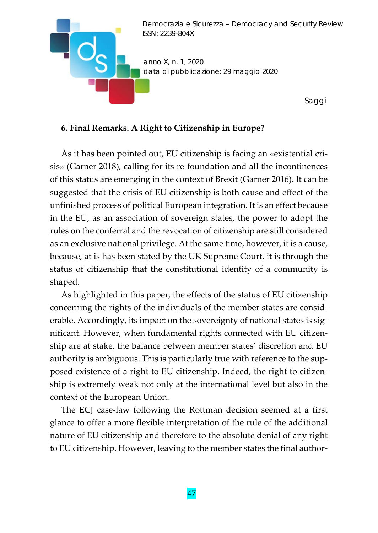

## **6. Final Remarks. A Right to Citizenship in Europe?**

As it has been pointed out, EU citizenship is facing an «existential cri‐ sis» (Garner 2018), calling for its re‐foundation and all the incontinences of this status are emerging in the context of Brexit (Garner 2016). It can be suggested that the crisis of EU citizenship is both cause and effect of the unfinished process of political European integration. It is an effect because in the EU, as an association of sovereign states, the power to adopt the rules on the conferral and the revocation of citizenship are still considered as an exclusive national privilege. At the same time, however, it is a cause, because, at is has been stated by the UK Supreme Court, it is through the status of citizenship that the constitutional identity of a community is shaped.

As highlighted in this paper, the effects of the status of EU citizenship concerning the rights of the individuals of the member states are consid‐ erable. Accordingly, its impact on the sovereignty of national states is significant. However, when fundamental rights connected with EU citizen‐ ship are at stake, the balance between member states' discretion and EU authority is ambiguous. This is particularly true with reference to the sup‐ posed existence of a right to EU citizenship. Indeed, the right to citizen‐ ship is extremely weak not only at the international level but also in the context of the European Union.

The ECJ case‐law following the Rottman decision seemed at a first glance to offer a more flexible interpretation of the rule of the additional nature of EU citizenship and therefore to the absolute denial of any right to EU citizenship. However, leaving to the member states the final author‐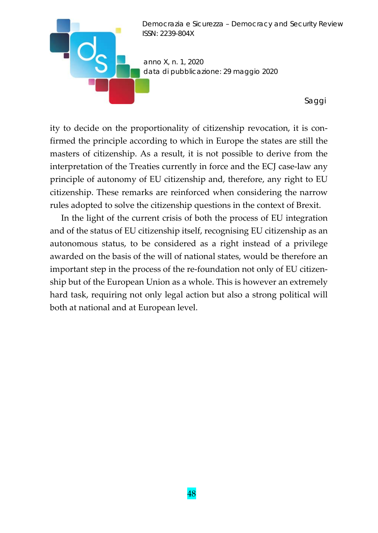

ity to decide on the proportionality of citizenship revocation, it is con‐ firmed the principle according to which in Europe the states are still the masters of citizenship. As a result, it is not possible to derive from the interpretation of the Treaties currently in force and the ECJ case‐law any principle of autonomy of EU citizenship and, therefore, any right to EU citizenship. These remarks are reinforced when considering the narrow rules adopted to solve the citizenship questions in the context of Brexit.

In the light of the current crisis of both the process of EU integration and of the status of EU citizenship itself, recognising EU citizenship as an autonomous status, to be considered as a right instead of a privilege awarded on the basis of the will of national states, would be therefore an important step in the process of the re-foundation not only of EU citizenship but of the European Union as a whole. This is however an extremely hard task, requiring not only legal action but also a strong political will both at national and at European level.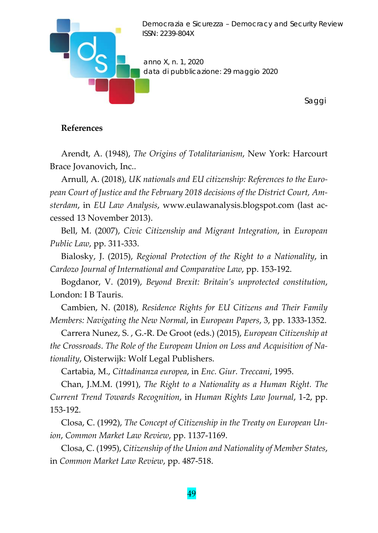

#### **References**

Arendt, A. (1948), *The Origins of Totalitarianism*, New York: Harcourt Brace Jovanovich, Inc..

Arnull, A. (2018), *UK nationals and EU citizenship: References to the Euro‐ pean Court of Justice and the February 2018 decisions of the District Court, Am‐ sterdam*, in *EU Law Analysis*, www.eulawanalysis.blogspot.com (last ac‐ cessed 13 November 2013).

Bell, M. (2007), *Civic Citizenship and Migrant Integration*, in *European Public Law*, pp. 311‐333.

Bialosky, J. (2015), *Regional Protection of the Right to a Nationality*, in *Cardozo Journal of International and Comparative Law*, pp. 153‐192.

Bogdanor, V. (2019), *Beyond Brexit: Britain's unprotected constitution*, London: I B Tauris.

Cambien, N. (2018), *Residence Rights for EU Citizens and Their Family Members: Navigating the New Normal*, in *European Papers*, 3, pp. 1333‐1352.

Carrera Nunez, S. , G.‐R. De Groot (eds.) (2015), *European Citizenship at the Crossroads*. *The Role of the European Union on Loss and Acquisition of Na‐ tionality*, Oisterwijk: Wolf Legal Publishers.

Cartabia, M., *Cittadinanza europea*, in *Enc. Giur. Treccani*, 1995.

Chan, J.M.M. (1991), *The Right to a Nationality as a Human Right. The Current Trend Towards Recognition*, in *Human Rights Law Journal*, 1‐2, pp. 153‐192.

Closa, C. (1992), *The Concept of Citizenship in the Treaty on European Un‐ ion*, *Common Market Law Review*, pp. 1137‐1169.

Closa, C. (1995), *Citizenship of the Union and Nationality of Member States*, in *Common Market Law Review*, pp. 487‐518.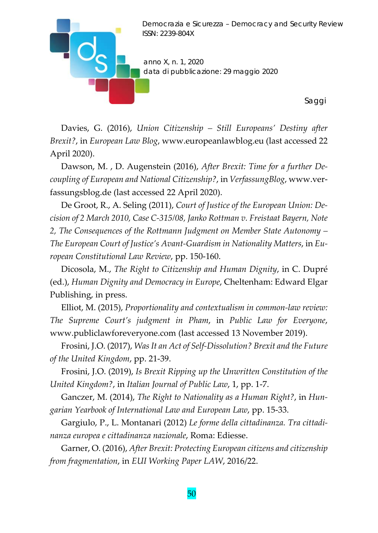

Davies, G. (2016), *Union Citizenship – Still Europeans' Destiny after Brexit?*, in *European Law Blog*, www.europeanlawblog.eu (last accessed 22 April 2020).

Dawson, M. , D. Augenstein (2016), *After Brexit: Time for a further De‐ coupling of European and National Citizenship?*, in *VerfassungBlog*, www.ver‐ fassungsblog.de (last accessed 22 April 2020).

De Groot, R., A. Seling (2011), *Court of Justice of the European Union: De‐ cision of 2 March 2010, Case C‐315/08, Janko Rottman v. Freistaat Bayern, Note 2, The Consequences of the Rottmann Judgment on Member State Autonomy – The European Court of Justice's Avant‐Guardism in Nationality Matters*, in *Eu‐ ropean Constitutional Law Review*, pp. 150‐160.

Dicosola, M., *The Right to Citizenship and Human Dignity*, in C. Dupré (ed.), *Human Dignity and Democracy in Europe*, Cheltenham: Edward Elgar Publishing, in press.

Elliot, M. (2015), *Proportionality and contextualism in common‐law review: The Supreme Court's judgment in Pham*, in *Public Law for Everyone*, www.publiclawforeveryone.com (last accessed 13 November 2019).

Frosini, J.O. (2017), *Was It an Act of Self‐Dissolution? Brexit and the Future of the United Kingdom*, pp. 21‐39.

Frosini, J.O. (2019), *Is Brexit Ripping up the Unwritten Constitution of the United Kingdom?*, in *Italian Journal of Public Law*, 1, pp. 1‐7.

Ganczer, M. (2014), *The Right to Nationality as a Human Right?*, in *Hun‐ garian Yearbook of International Law and European Law*, pp. 15‐33.

Gargiulo, P., L. Montanari (2012) *Le forme della cittadinanza. Tra cittadi‐ nanza europea e cittadinanza nazionale*, Roma: Ediesse.

Garner, O. (2016), *After Brexit: Protecting European citizens and citizenship from fragmentation*, in *EUI Working Paper LAW*, 2016/22.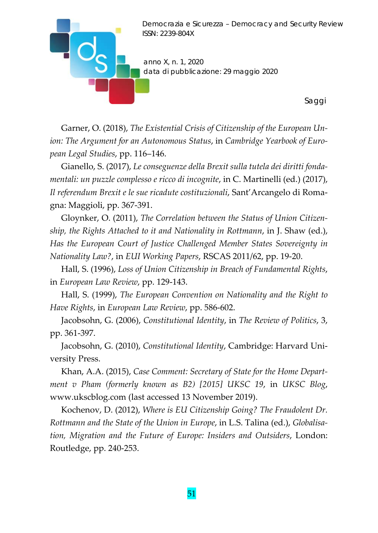

Garner, O. (2018), *The Existential Crisis of Citizenship of the European Un‐ ion: The Argument for an Autonomous Status*, in *Cambridge Yearbook of Euro‐ pean Legal Studies*, pp. 116–146.

Gianello, S. (2017), *Le conseguenze della Brexit sulla tutela dei diritti fonda‐ mentali: un puzzle complesso e ricco di incognite*, in C. Martinelli (ed.) (2017), *Il referendum Brexit e le sue ricadute costituzionali*, Sant'Arcangelo di Roma‐ gna: Maggioli, pp. 367‐391.

Gloynker, O. (2011), *The Correlation between the Status of Union Citizen‐ ship, the Rights Attached to it and Nationality in Rottmann*, in J. Shaw (ed.), *Has the European Court of Justice Challenged Member States Sovereignty in Nationality Law?*, in *EUI Working Papers*, RSCAS 2011/62, pp. 19‐20.

Hall, S. (1996), *Loss of Union Citizenship in Breach of Fundamental Rights*, in *European Law Review*, pp. 129‐143.

Hall, S. (1999), *The European Convention on Nationality and the Right to Have Rights*, in *European Law Review*, pp. 586‐602.

Jacobsohn, G. (2006), *Constitutional Identity*, in *The Review of Politics*, 3, pp. 361‐397.

Jacobsohn, G. (2010), *Constitutional Identity*, Cambridge: Harvard Uni‐ versity Press.

Khan, A.A. (2015), *Case Comment: Secretary of State for the Home Depart‐ ment v Pham (formerly known as B2) [2015] UKSC 19*, in *UKSC Blog*, www.ukscblog.com (last accessed 13 November 2019).

Kochenov, D. (2012), *Where is EU Citizenship Going? The Fraudolent Dr. Rottmann and the State of the Union in Europe*, in L.S. Talina (ed.), *Globalisa‐ tion, Migration and the Future of Europe: Insiders and Outsiders*, London: Routledge, pp. 240‐253.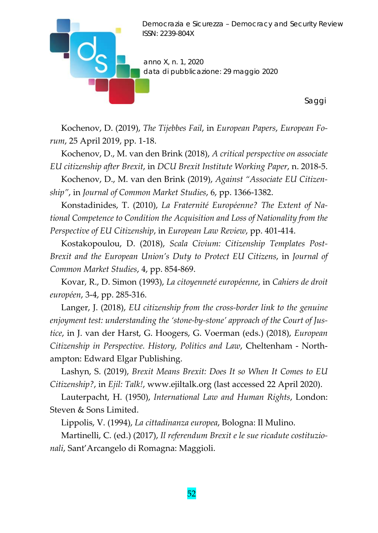

*Saggi* 

Kochenov, D. (2019), *The Tijebbes Fail*, in *European Papers*, *European Fo‐ rum*, 25 April 2019, pp. 1‐18.

Kochenov, D., M. van den Brink (2018), *A critical perspective on associate EU citizenship after Brexit*, in *DCU Brexit Institute Working Paper*, n. 2018‐5.

Kochenov, D., M. van den Brink (2019), *Against "Associate EU Citizen‐ ship"*, in *Journal of Common Market Studies*, 6, pp. 1366‐1382.

Konstadinides, T. (2010), *La Fraternité Européenne? The Extent of Na‐ tional Competence to Condition the Acquisition and Loss of Nationality from the Perspective of EU Citizenship*, in *European Law Review*, pp. 401‐414.

Kostakopoulou, D. (2018), *Scala Civium: Citizenship Templates Post‐ Brexit and the European Union's Duty to Protect EU Citizens*, in *Journal of Common Market Studies*, 4, pp. 854‐869.

Kovar, R., D. Simon (1993), *La citoyenneté européenne*, in *Cahiers de droit européen*, 3‐4, pp. 285‐316.

Langer, J. (2018), *EU citizenship from the cross‐border link to the genuine enjoyment test: understanding the 'stone‐by‐stone' approach of the Court of Jus‐ tice*, in J. van der Harst, G. Hoogers, G. Voerman (eds.) (2018), *European Citizenship in Perspective. History, Politics and Law*, Cheltenham ‐ North‐ ampton: Edward Elgar Publishing.

Lashyn, S. (2019), *Brexit Means Brexit: Does It so When It Comes to EU Citizenship?*, in *Ejil: Talk!*, www.ejiltalk.org (last accessed 22 April 2020).

Lauterpacht, H. (1950), *International Law and Human Rights*, London: Steven & Sons Limited.

Lippolis, V. (1994), *La cittadinanza europea*, Bologna: Il Mulino.

Martinelli, C. (ed.) (2017), *Il referendum Brexit e le sue ricadute costituzio‐ nali*, Sant'Arcangelo di Romagna: Maggioli.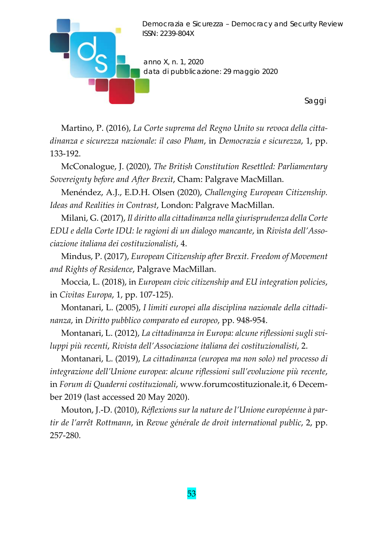

Martino, P. (2016), *La Corte suprema del Regno Unito su revoca della citta‐ dinanza e sicurezza nazionale: il caso Pham*, in *Democrazia e sicurezza*, 1, pp. 133‐192.

McConalogue, J. (2020), *The British Constitution Resettled: Parliamentary Sovereignty before and After Brexit*, Cham: Palgrave MacMillan.

Menéndez, A.J., E.D.H. Olsen (2020), *Challenging European Citizenship. Ideas and Realities in Contrast*, London: Palgrave MacMillan.

Milani, G. (2017), *Il diritto alla cittadinanza nella giurisprudenza della Corte EDU e della Corte IDU: le ragioni di un dialogo mancante*, in *Rivista dell'Asso‐ ciazione italiana dei costituzionalisti*, 4.

Mindus, P. (2017), *European Citizenship after Brexit. Freedom of Movement and Rights of Residence*, Palgrave MacMillan.

Moccia, L. (2018), in *European civic citizenship and EU integration policies*, in *Civitas Europa*, 1, pp. 107‐125).

Montanari, L. (2005), *I limiti europei alla disciplina nazionale della cittadi‐ nanza*, in *Diritto pubblico comparato ed europeo*, pp. 948‐954.

Montanari, L. (2012), *La cittadinanza in Europa: alcune riflessioni sugli svi‐ luppi più recenti*, *Rivista dell'Associazione italiana dei costituzionalisti*, 2.

Montanari, L. (2019), *La cittadinanza (europea ma non solo) nel processo di integrazione dell'Unione europea: alcune riflessioni sull'evoluzione più recente*, in *Forum di Quaderni costituzionali*, www.forumcostituzionale.it, 6 Decem‐ ber 2019 (last accessed 20 May 2020).

Mouton, J.‐D. (2010), *Réflexions sur la nature de l'Unione européenne à par‐ tir de l'arrêt Rottmann*, in *Revue générale de droit international public*, 2, pp. 257‐280.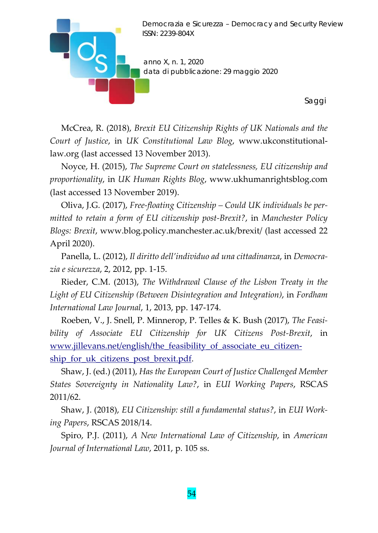

McCrea, R. (2018), *Brexit EU Citizenship Rights of UK Nationals and the Court of Justice*, in *UK Constitutional Law Blog*, www.ukconstitutional‐ law.org (last accessed 13 November 2013).

Noyce, H. (2015), *The Supreme Court on statelessness, EU citizenship and proportionality*, in *UK Human Rights Blog*, www.ukhumanrightsblog.com (last accessed 13 November 2019).

Oliva, J.G. (2017), *Free‐floating Citizenship – Could UK individuals be per‐ mitted to retain a form of EU citizenship post‐Brexit?*, in *Manchester Policy Blogs: Brexit*, www.blog.policy.manchester.ac.uk/brexit/ (last accessed 22 April 2020).

Panella, L. (2012), *Il diritto dell'individuo ad una cittadinanza*, in *Democra‐ zia e sicurezza*, 2, 2012, pp. 1‐15.

Rieder, C.M. (2013), *The Withdrawal Clause of the Lisbon Treaty in the Light of EU Citizenship (Between Disintegration and Integration)*, in *Fordham International Law Journal*, 1, 2013, pp. 147‐174.

Roeben, V., J. Snell, P. Minnerop, P. Telles & K. Bush (2017), *The Feasi‐ bility of Associate EU Citizenship for UK Citizens Post‐Brexit*, in www.jillevans.net/english/the\_feasibility\_of\_associate\_eu\_citizenship for uk citizens post brexit.pdf.

Shaw, J. (ed.) (2011), *Has the European Court of Justice Challenged Member States Sovereignty in Nationality Law?*, in *EUI Working Papers*, RSCAS 2011/62.

Shaw, J. (2018), *EU Citizenship: still a fundamental status?*, in *EUI Work‐ ing Papers*, RSCAS 2018/14.

Spiro, P.J. (2011), *A New International Law of Citizenship*, in *American Journal of International Law*, 2011, p. 105 ss.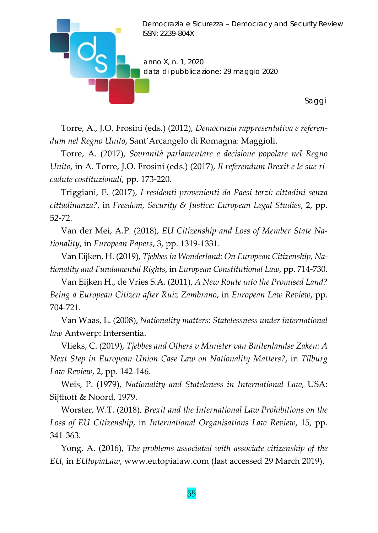

Torre, A., J.O. Frosini (eds.) (2012), *Democrazia rappresentativa e referen‐ dum nel Regno Unito*, Sant'Arcangelo di Romagna: Maggioli.

Torre, A. (2017), *Sovranità parlamentare e decisione popolare nel Regno Unito*, in A. Torre, J.O. Frosini (eds.) (2017), *Il referendum Brexit e le sue ri‐ cadute costituzionali*, pp. 173‐220.

Triggiani, E. (2017), *I residenti provenienti da Paesi terzi: cittadini senza cittadinanza?*, in *Freedom, Security & Justice: European Legal Studies*, 2, pp. 52‐72.

Van der Mei, A.P. (2018), *EU Citizenship and Loss of Member State Na‐ tionality*, in *European Papers*, 3, pp. 1319‐1331.

Van Eijken, H. (2019), *Tjebbesin Wonderland: On European Citizenship, Na‐ tionality and Fundamental Rights*, in *European Constitutional Law*, pp. 714‐730.

Van Eijken H., de Vries S.A. (2011), *A New Route into the Promised Land? Being a European Citizen after Ruiz Zambrano*, in *European Law Review*, pp. 704‐721.

Van Waas, L. (2008), *Nationality matters: Statelessness under international law* Antwerp: Intersentia.

Vlieks, C. (2019), *Tjebbes and Others v Minister van Buitenlandse Zaken: A Next Step in European Union Case Law on Nationality Matters?*, in *Tilburg Law Review*, 2, pp. 142‐146.

Weis, P. (1979), *Nationality and Stateleness in International Law*, USA: Sijthoff & Noord, 1979.

Worster, W.T. (2018), *Brexit and the International Law Prohibitions on the Loss of EU Citizenship*, in *International Organisations Law Review*, 15, pp. 341‐363.

Yong, A. (2016), *The problems associated with associate citizenship of the EU*, in *EUtopiaLaw*, www.eutopialaw.com (last accessed 29 March 2019).